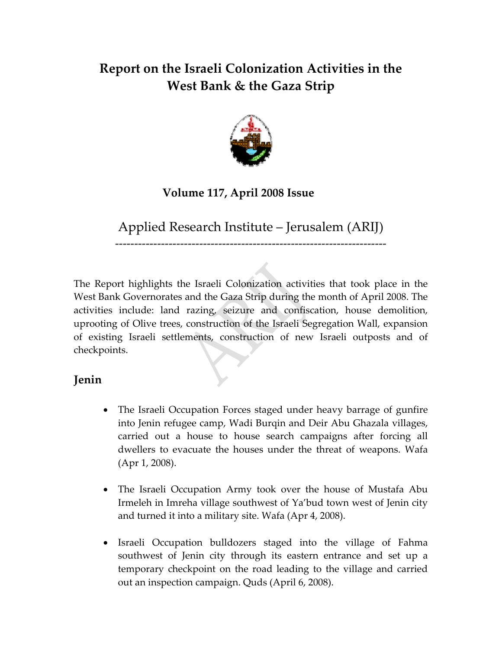# **Report on the Israeli Colonization Activities in the West Bank & the Gaza Strip**



## **Volume 117, April 2008 Issue**

Applied Research Institute – Jerusalem (ARIJ)

‐‐‐‐‐‐‐‐‐‐‐‐‐‐‐‐‐‐‐‐‐‐‐‐‐‐‐‐‐‐‐‐‐‐‐‐‐‐‐‐‐‐‐‐‐‐‐‐‐‐‐‐‐‐‐‐‐‐‐‐‐‐‐‐‐‐‐‐‐‐‐

The Report highlights the Israeli Colonization activities that took place in the West Bank Governorates and the Gaza Strip during the month of April 2008. The activities include: land razing, seizure and confiscation, house demolition, uprooting of Olive trees, construction of the Israeli Segregation Wall, expansion of existing Israeli settlements, construction of new Israeli outposts and of checkpoints.

## **Jenin**

- The Israeli Occupation Forces staged under heavy barrage of gunfire into Jenin refugee camp, Wadi Burqin and Deir Abu Ghazala villages, carried out a house to house search campaigns after forcing all dwellers to evacuate the houses under the threat of weapons. Wafa (Apr 1, 2008).
- The Israeli Occupation Army took over the house of Mustafa Abu Irmeleh in Imreha village southwest of Ya'bud town west of Jenin city and turned it into a military site. Wafa (Apr 4, 2008).
- Israeli Occupation bulldozers staged into the village of Fahma southwest of Jenin city through its eastern entrance and set up a temporary checkpoint on the road leading to the village and carried out an inspection campaign. Quds (April 6, 2008).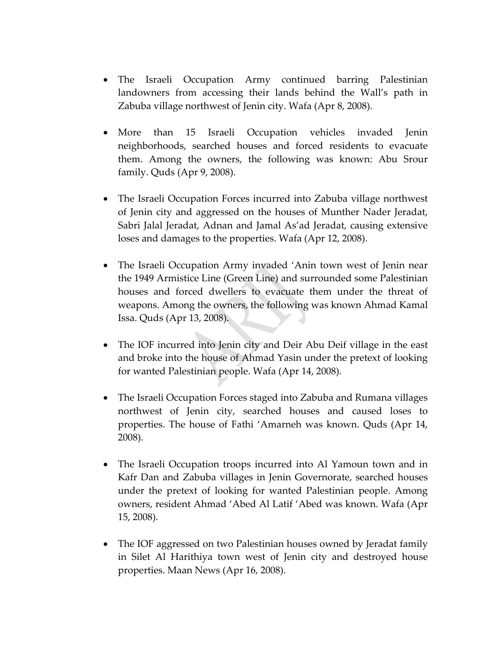- The Israeli Occupation Army continued barring Palestinian landowners from accessing their lands behind the Wall's path in Zabuba village northwest of Jenin city. Wafa (Apr 8, 2008).
- More than 15 Israeli Occupation vehicles invaded Jenin neighborhoods, searched houses and forced residents to evacuate them. Among the owners, the following was known: Abu Srour family. Quds (Apr 9, 2008).
- The Israeli Occupation Forces incurred into Zabuba village northwest of Jenin city and aggressed on the houses of Munther Nader Jeradat, Sabri Jalal Jeradat, Adnan and Jamal As'ad Jeradat, causing extensive loses and damages to the properties. Wafa (Apr 12, 2008).
- The Israeli Occupation Army invaded 'Anin town west of Jenin near the 1949 Armistice Line (Green Line) and surrounded some Palestinian houses and forced dwellers to evacuate them under the threat of weapons. Among the owners, the following was known Ahmad Kamal Issa. Quds (Apr 13, 2008).
- The IOF incurred into Jenin city and Deir Abu Deif village in the east and broke into the house of Ahmad Yasin under the pretext of looking for wanted Palestinian people. Wafa (Apr 14, 2008).
- The Israeli Occupation Forces staged into Zabuba and Rumana villages northwest of Jenin city, searched houses and caused loses to properties. The house of Fathi 'Amarneh was known. Quds (Apr 14, 2008).
- The Israeli Occupation troops incurred into Al Yamoun town and in Kafr Dan and Zabuba villages in Jenin Governorate, searched houses under the pretext of looking for wanted Palestinian people. Among owners, resident Ahmad 'Abed Al Latif 'Abed was known. Wafa (Apr 15, 2008).
- The IOF aggressed on two Palestinian houses owned by Jeradat family in Silet Al Harithiya town west of Jenin city and destroyed house properties. Maan News (Apr 16, 2008).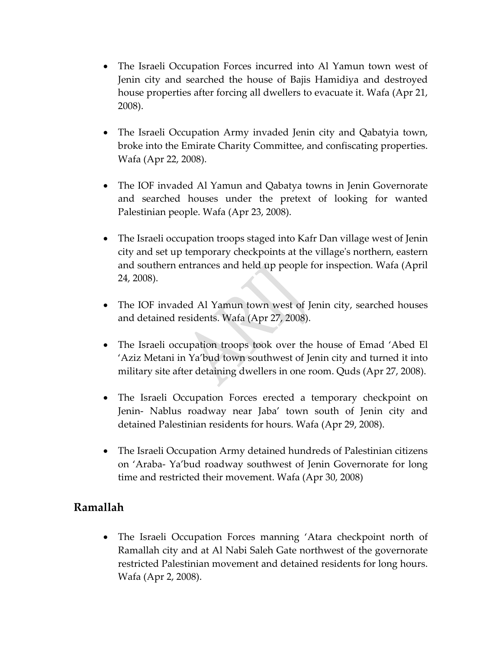- The Israeli Occupation Forces incurred into Al Yamun town west of Jenin city and searched the house of Bajis Hamidiya and destroyed house properties after forcing all dwellers to evacuate it. Wafa (Apr 21, 2008).
- The Israeli Occupation Army invaded Jenin city and Qabatyia town, broke into the Emirate Charity Committee, and confiscating properties. Wafa (Apr 22, 2008).
- The IOF invaded Al Yamun and Qabatya towns in Jenin Governorate and searched houses under the pretext of looking for wanted Palestinian people. Wafa (Apr 23, 2008).
- The Israeli occupation troops staged into Kafr Dan village west of Jenin city and set up temporary checkpoints at the villageʹs northern, eastern and southern entrances and held up people for inspection. Wafa (April 24, 2008).
- The IOF invaded Al Yamun town west of Jenin city, searched houses and detained residents. Wafa (Apr 27, 2008).
- The Israeli occupation troops took over the house of Emad 'Abed El 'Aziz Metani in Ya'bud town southwest of Jenin city and turned it into military site after detaining dwellers in one room. Quds (Apr 27, 2008).
- The Israeli Occupation Forces erected a temporary checkpoint on Jenin‐ Nablus roadway near Jaba' town south of Jenin city and detained Palestinian residents for hours. Wafa (Apr 29, 2008).
- The Israeli Occupation Army detained hundreds of Palestinian citizens on 'Araba‐ Ya'bud roadway southwest of Jenin Governorate for long time and restricted their movement. Wafa (Apr 30, 2008)

## **Ramallah**

• The Israeli Occupation Forces manning 'Atara checkpoint north of Ramallah city and at Al Nabi Saleh Gate northwest of the governorate restricted Palestinian movement and detained residents for long hours. Wafa (Apr 2, 2008).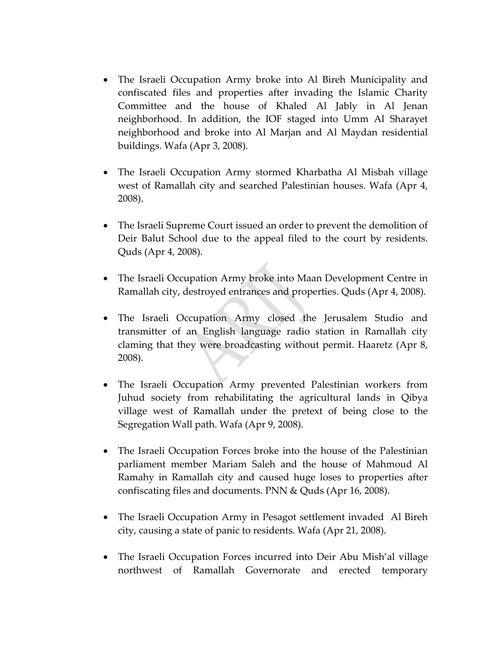- The Israeli Occupation Army broke into Al Bireh Municipality and confiscated files and properties after invading the Islamic Charity Committee and the house of Khaled Al Jably in Al Jenan neighborhood. In addition, the IOF staged into Umm Al Sharayet neighborhood and broke into Al Marjan and Al Maydan residential buildings. Wafa (Apr 3, 2008).
- The Israeli Occupation Army stormed Kharbatha Al Misbah village west of Ramallah city and searched Palestinian houses. Wafa (Apr 4, 2008).
- The Israeli Supreme Court issued an order to prevent the demolition of Deir Balut School due to the appeal filed to the court by residents. Quds (Apr 4, 2008).
- The Israeli Occupation Army broke into Maan Development Centre in Ramallah city, destroyed entrances and properties. Quds (Apr 4, 2008).
- The Israeli Occupation Army closed the Jerusalem Studio and transmitter of an English language radio station in Ramallah city claming that they were broadcasting without permit. Haaretz (Apr 8, 2008).
- The Israeli Occupation Army prevented Palestinian workers from Juhud society from rehabilitating the agricultural lands in Qibya village west of Ramallah under the pretext of being close to the Segregation Wall path. Wafa (Apr 9, 2008).
- The Israeli Occupation Forces broke into the house of the Palestinian parliament member Mariam Saleh and the house of Mahmoud Al Ramahy in Ramallah city and caused huge loses to properties after confiscating files and documents. PNN & Quds (Apr 16, 2008).
- The Israeli Occupation Army in Pesagot settlement invaded Al Bireh city, causing a state of panic to residents. Wafa (Apr 21, 2008).
- The Israeli Occupation Forces incurred into Deir Abu Mish'al village northwest of Ramallah Governorate and erected temporary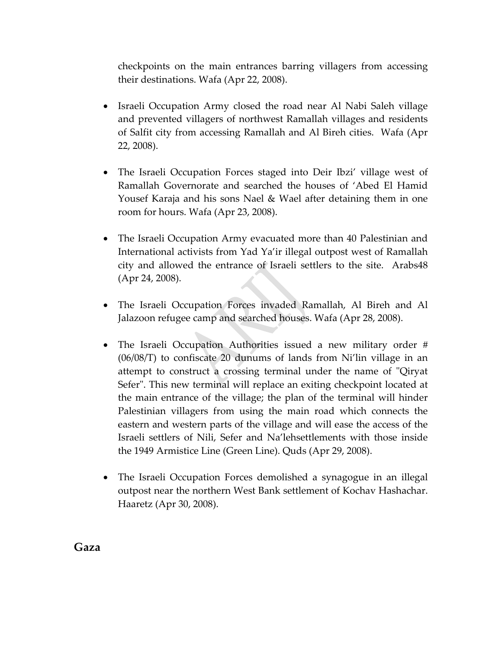checkpoints on the main entrances barring villagers from accessing their destinations. Wafa (Apr 22, 2008).

- Israeli Occupation Army closed the road near Al Nabi Saleh village and prevented villagers of northwest Ramallah villages and residents of Salfit city from accessing Ramallah and Al Bireh cities. Wafa (Apr 22, 2008).
- The Israeli Occupation Forces staged into Deir Ibzi' village west of Ramallah Governorate and searched the houses of 'Abed El Hamid Yousef Karaja and his sons Nael & Wael after detaining them in one room for hours. Wafa (Apr 23, 2008).
- The Israeli Occupation Army evacuated more than 40 Palestinian and International activists from Yad Ya'ir illegal outpost west of Ramallah city and allowed the entrance of Israeli settlers to the site. Arabs48 (Apr 24, 2008).
- The Israeli Occupation Forces invaded Ramallah, Al Bireh and Al Jalazoon refugee camp and searched houses. Wafa (Apr 28, 2008).
- The Israeli Occupation Authorities issued a new military order # (06/08/T) to confiscate 20 dunums of lands from Ni'lin village in an attempt to construct a crossing terminal under the name of "Qiryat Sefer". This new terminal will replace an exiting checkpoint located at the main entrance of the village; the plan of the terminal will hinder Palestinian villagers from using the main road which connects the eastern and western parts of the village and will ease the access of the Israeli settlers of Nili, Sefer and Na'lehsettlements with those inside the 1949 Armistice Line (Green Line). Quds (Apr 29, 2008).
- The Israeli Occupation Forces demolished a synagogue in an illegal outpost near the northern West Bank settlement of Kochav Hashachar. Haaretz (Apr 30, 2008).

**Gaza**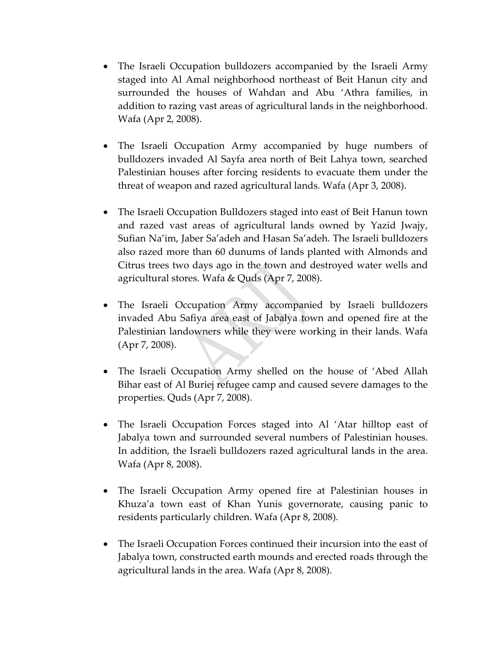- The Israeli Occupation bulldozers accompanied by the Israeli Army staged into Al Amal neighborhood northeast of Beit Hanun city and surrounded the houses of Wahdan and Abu 'Athra families, in addition to razing vast areas of agricultural lands in the neighborhood. Wafa (Apr 2, 2008).
- The Israeli Occupation Army accompanied by huge numbers of bulldozers invaded Al Sayfa area north of Beit Lahya town, searched Palestinian houses after forcing residents to evacuate them under the threat of weapon and razed agricultural lands. Wafa (Apr 3, 2008).
- The Israeli Occupation Bulldozers staged into east of Beit Hanun town and razed vast areas of agricultural lands owned by Yazid Jwajy, Sufian Na'im, Jaber Sa'adeh and Hasan Sa'adeh. The Israeli bulldozers also razed more than 60 dunums of lands planted with Almonds and Citrus trees two days ago in the town and destroyed water wells and agricultural stores. Wafa & Quds (Apr 7, 2008).
- The Israeli Occupation Army accompanied by Israeli bulldozers invaded Abu Safiya area east of Jabalya town and opened fire at the Palestinian landowners while they were working in their lands. Wafa (Apr 7, 2008).
- The Israeli Occupation Army shelled on the house of 'Abed Allah Bihar east of Al Buriej refugee camp and caused severe damages to the properties. Quds (Apr 7, 2008).
- The Israeli Occupation Forces staged into Al 'Atar hilltop east of Jabalya town and surrounded several numbers of Palestinian houses. In addition, the Israeli bulldozers razed agricultural lands in the area. Wafa (Apr 8, 2008).
- The Israeli Occupation Army opened fire at Palestinian houses in Khuza'a town east of Khan Yunis governorate, causing panic to residents particularly children. Wafa (Apr 8, 2008).
- The Israeli Occupation Forces continued their incursion into the east of Jabalya town, constructed earth mounds and erected roads through the agricultural lands in the area. Wafa (Apr 8, 2008).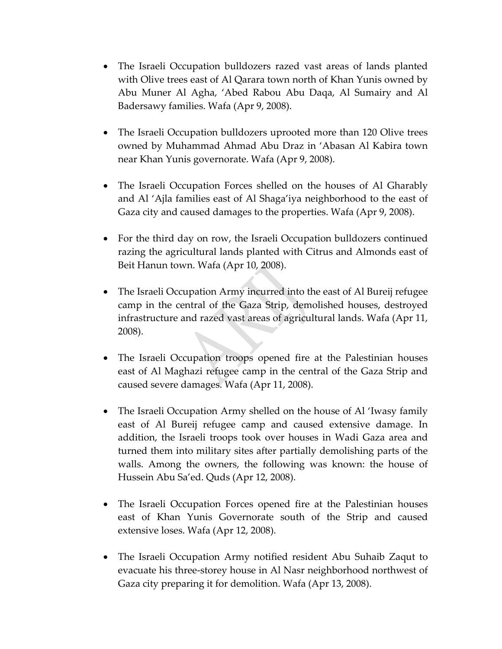- The Israeli Occupation bulldozers razed vast areas of lands planted with Olive trees east of Al Qarara town north of Khan Yunis owned by Abu Muner Al Agha, 'Abed Rabou Abu Daqa, Al Sumairy and Al Badersawy families. Wafa (Apr 9, 2008).
- The Israeli Occupation bulldozers uprooted more than 120 Olive trees owned by Muhammad Ahmad Abu Draz in 'Abasan Al Kabira town near Khan Yunis governorate. Wafa (Apr 9, 2008).
- The Israeli Occupation Forces shelled on the houses of Al Gharably and Al 'Ajla families east of Al Shaga'iya neighborhood to the east of Gaza city and caused damages to the properties. Wafa (Apr 9, 2008).
- For the third day on row, the Israeli Occupation bulldozers continued razing the agricultural lands planted with Citrus and Almonds east of Beit Hanun town. Wafa (Apr 10, 2008).
- The Israeli Occupation Army incurred into the east of Al Bureij refugee camp in the central of the Gaza Strip, demolished houses, destroyed infrastructure and razed vast areas of agricultural lands. Wafa (Apr 11, 2008).
- The Israeli Occupation troops opened fire at the Palestinian houses east of Al Maghazi refugee camp in the central of the Gaza Strip and caused severe damages. Wafa (Apr 11, 2008).
- The Israeli Occupation Army shelled on the house of Al 'Iwasy family east of Al Bureij refugee camp and caused extensive damage. In addition, the Israeli troops took over houses in Wadi Gaza area and turned them into military sites after partially demolishing parts of the walls. Among the owners, the following was known: the house of Hussein Abu Sa'ed. Quds (Apr 12, 2008).
- The Israeli Occupation Forces opened fire at the Palestinian houses east of Khan Yunis Governorate south of the Strip and caused extensive loses. Wafa (Apr 12, 2008).
- The Israeli Occupation Army notified resident Abu Suhaib Zaqut to evacuate his three‐storey house in Al Nasr neighborhood northwest of Gaza city preparing it for demolition. Wafa (Apr 13, 2008).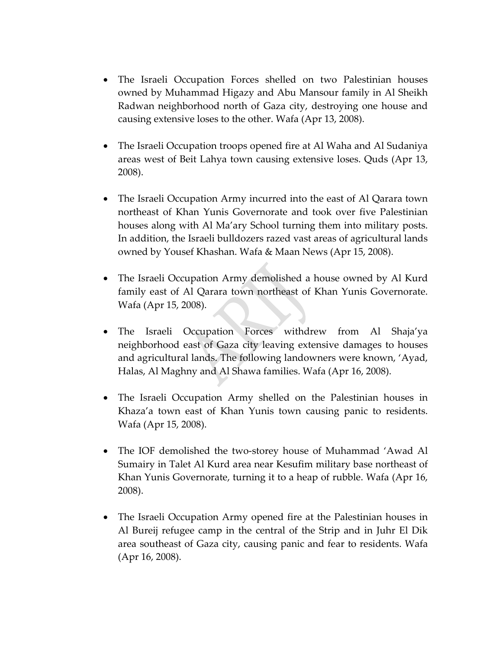- The Israeli Occupation Forces shelled on two Palestinian houses owned by Muhammad Higazy and Abu Mansour family in Al Sheikh Radwan neighborhood north of Gaza city, destroying one house and causing extensive loses to the other. Wafa (Apr 13, 2008).
- The Israeli Occupation troops opened fire at Al Waha and Al Sudaniya areas west of Beit Lahya town causing extensive loses. Quds (Apr 13, 2008).
- The Israeli Occupation Army incurred into the east of Al Qarara town northeast of Khan Yunis Governorate and took over five Palestinian houses along with Al Ma'ary School turning them into military posts. In addition, the Israeli bulldozers razed vast areas of agricultural lands owned by Yousef Khashan. Wafa & Maan News (Apr 15, 2008).
- The Israeli Occupation Army demolished a house owned by Al Kurd family east of Al Qarara town northeast of Khan Yunis Governorate. Wafa (Apr 15, 2008).
- The Israeli Occupation Forces withdrew from Al Shaja'ya neighborhood east of Gaza city leaving extensive damages to houses and agricultural lands. The following landowners were known, 'Ayad, Halas, Al Maghny and Al Shawa families. Wafa (Apr 16, 2008).
- The Israeli Occupation Army shelled on the Palestinian houses in Khaza'a town east of Khan Yunis town causing panic to residents. Wafa (Apr 15, 2008).
- The IOF demolished the two-storey house of Muhammad 'Awad Al Sumairy in Talet Al Kurd area near Kesufim military base northeast of Khan Yunis Governorate, turning it to a heap of rubble. Wafa (Apr 16, 2008).
- The Israeli Occupation Army opened fire at the Palestinian houses in Al Bureij refugee camp in the central of the Strip and in Juhr El Dik area southeast of Gaza city, causing panic and fear to residents. Wafa (Apr 16, 2008).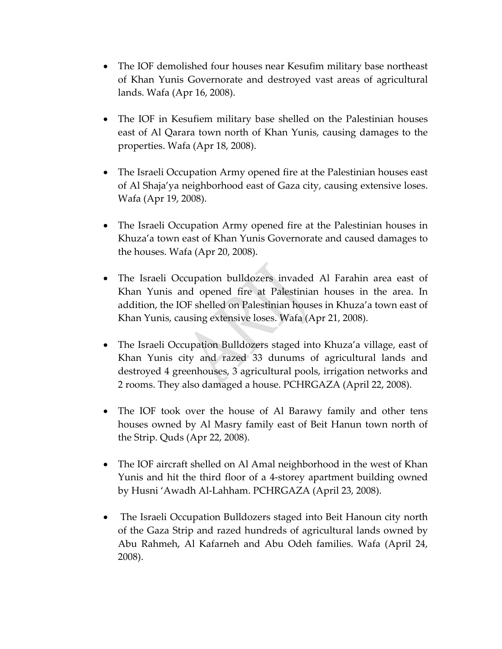- The IOF demolished four houses near Kesufim military base northeast of Khan Yunis Governorate and destroyed vast areas of agricultural lands. Wafa (Apr 16, 2008).
- The IOF in Kesufiem military base shelled on the Palestinian houses east of Al Qarara town north of Khan Yunis, causing damages to the properties. Wafa (Apr 18, 2008).
- The Israeli Occupation Army opened fire at the Palestinian houses east of Al Shaja'ya neighborhood east of Gaza city, causing extensive loses. Wafa (Apr 19, 2008).
- The Israeli Occupation Army opened fire at the Palestinian houses in Khuza'a town east of Khan Yunis Governorate and caused damages to the houses. Wafa (Apr 20, 2008).
- The Israeli Occupation bulldozers invaded Al Farahin area east of Khan Yunis and opened fire at Palestinian houses in the area. In addition, the IOF shelled on Palestinian houses in Khuza'a town east of Khan Yunis, causing extensive loses. Wafa (Apr 21, 2008).
- The Israeli Occupation Bulldozers staged into Khuza'a village, east of Khan Yunis city and razed 33 dunums of agricultural lands and destroyed 4 greenhouses, 3 agricultural pools, irrigation networks and 2 rooms. They also damaged a house. PCHRGAZA (April 22, 2008).
- The IOF took over the house of Al Barawy family and other tens houses owned by Al Masry family east of Beit Hanun town north of the Strip. Quds (Apr 22, 2008).
- The IOF aircraft shelled on Al Amal neighborhood in the west of Khan Yunis and hit the third floor of a 4‐storey apartment building owned by Husni 'Awadh Al‐Lahham. PCHRGAZA (April 23, 2008).
- The Israeli Occupation Bulldozers staged into Beit Hanoun city north of the Gaza Strip and razed hundreds of agricultural lands owned by Abu Rahmeh, Al Kafarneh and Abu Odeh families. Wafa (April 24, 2008).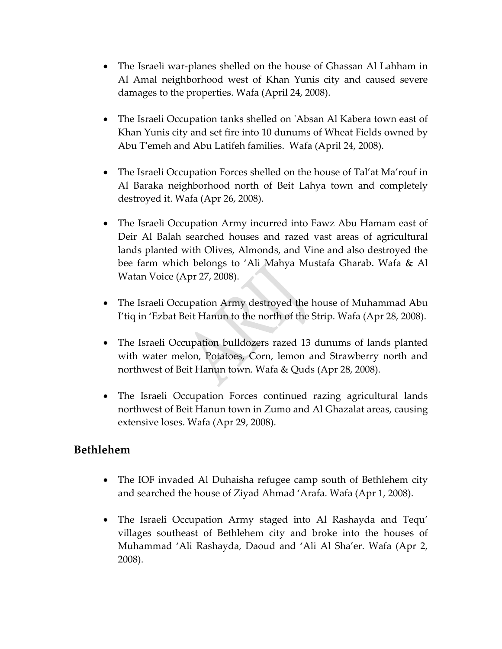- The Israeli war-planes shelled on the house of Ghassan Al Lahham in Al Amal neighborhood west of Khan Yunis city and caused severe damages to the properties. Wafa (April 24, 2008).
- The Israeli Occupation tanks shelled on 'Absan Al Kabera town east of Khan Yunis city and set fire into 10 dunums of Wheat Fields owned by Abu T'emeh and Abu Latifeh families. Wafa (April 24, 2008).
- The Israeli Occupation Forces shelled on the house of Tal'at Ma'rouf in Al Baraka neighborhood north of Beit Lahya town and completely destroyed it. Wafa (Apr 26, 2008).
- The Israeli Occupation Army incurred into Fawz Abu Hamam east of Deir Al Balah searched houses and razed vast areas of agricultural lands planted with Olives, Almonds, and Vine and also destroyed the bee farm which belongs to 'Ali Mahya Mustafa Gharab. Wafa & Al Watan Voice (Apr 27, 2008).
- The Israeli Occupation Army destroyed the house of Muhammad Abu I'tiq in 'Ezbat Beit Hanun to the north of the Strip. Wafa (Apr 28, 2008).
- The Israeli Occupation bulldozers razed 13 dunums of lands planted with water melon, Potatoes, Corn, lemon and Strawberry north and northwest of Beit Hanun town. Wafa & Quds (Apr 28, 2008).
- The Israeli Occupation Forces continued razing agricultural lands northwest of Beit Hanun town in Zumo and Al Ghazalat areas, causing extensive loses. Wafa (Apr 29, 2008).

#### **Bethlehem**

- The IOF invaded Al Duhaisha refugee camp south of Bethlehem city and searched the house of Ziyad Ahmad 'Arafa. Wafa (Apr 1, 2008).
- The Israeli Occupation Army staged into Al Rashayda and Tequ' villages southeast of Bethlehem city and broke into the houses of Muhammad 'Ali Rashayda, Daoud and 'Ali Al Sha'er. Wafa (Apr 2, 2008).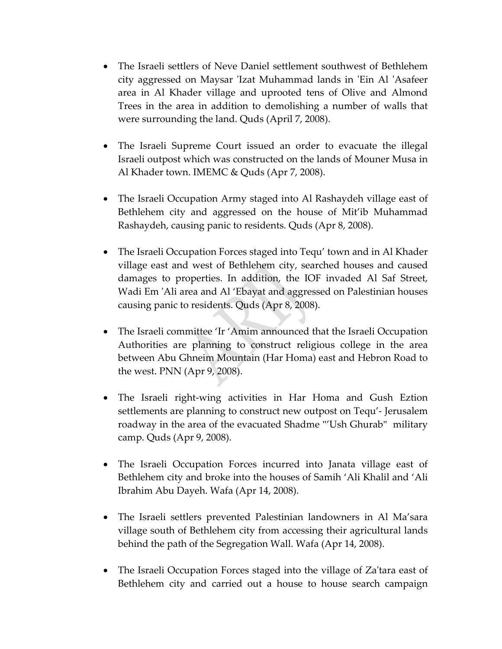- The Israeli settlers of Neve Daniel settlement southwest of Bethlehem city aggressed on Maysar 'Izat Muhammad lands in 'Ein Al 'Asafeer area in Al Khader village and uprooted tens of Olive and Almond Trees in the area in addition to demolishing a number of walls that were surrounding the land. Quds (April 7, 2008).
- The Israeli Supreme Court issued an order to evacuate the illegal Israeli outpost which was constructed on the lands of Mouner Musa in Al Khader town. IMEMC & Quds (Apr 7, 2008).
- The Israeli Occupation Army staged into Al Rashaydeh village east of Bethlehem city and aggressed on the house of Mit'ib Muhammad Rashaydeh, causing panic to residents. Quds (Apr 8, 2008).
- The Israeli Occupation Forces staged into Tequ' town and in Al Khader village east and west of Bethlehem city, searched houses and caused damages to properties. In addition, the IOF invaded Al Saf Street, Wadi Em 'Ali area and Al 'Ebayat and aggressed on Palestinian houses causing panic to residents. Quds (Apr 8, 2008).
- The Israeli committee 'Ir 'Amim announced that the Israeli Occupation Authorities are planning to construct religious college in the area between Abu Ghneim Mountain (Har Homa) east and Hebron Road to the west. PNN (Apr 9, 2008).
- The Israeli right-wing activities in Har Homa and Gush Eztion settlements are planning to construct new outpost on Tequ'- Jerusalem roadway in the area of the evacuated Shadme "'Ush Ghurab" military camp. Quds (Apr 9, 2008).
- The Israeli Occupation Forces incurred into Janata village east of Bethlehem city and broke into the houses of Samih 'Ali Khalil and 'Ali Ibrahim Abu Dayeh. Wafa (Apr 14, 2008).
- The Israeli settlers prevented Palestinian landowners in Al Ma'sara village south of Bethlehem city from accessing their agricultural lands behind the path of the Segregation Wall. Wafa (Apr 14, 2008).
- The Israeli Occupation Forces staged into the village of Za'tara east of Bethlehem city and carried out a house to house search campaign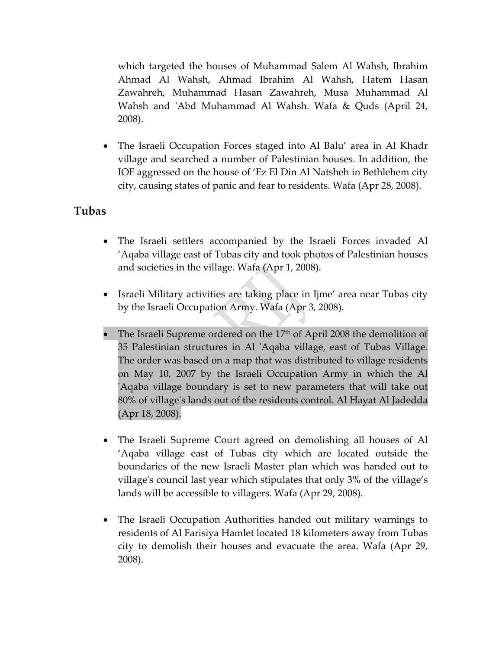which targeted the houses of Muhammad Salem Al Wahsh, Ibrahim Ahmad Al Wahsh, Ahmad Ibrahim Al Wahsh, Hatem Hasan Zawahreh, Muhammad Hasan Zawahreh, Musa Muhammad Al Wahsh and ʹAbd Muhammad Al Wahsh. Wafa & Quds (April 24, 2008).

• The Israeli Occupation Forces staged into Al Balu' area in Al Khadr village and searched a number of Palestinian houses. In addition, the IOF aggressed on the house of 'Ez El Din Al Natsheh in Bethlehem city city, causing states of panic and fear to residents. Wafa (Apr 28, 2008).

#### **Tubas**

- The Israeli settlers accompanied by the Israeli Forces invaded Al 'Aqaba village east of Tubas city and took photos of Palestinian houses and societies in the village. Wafa (Apr 1, 2008).
- Israeli Military activities are taking place in Ijme' area near Tubas city by the Israeli Occupation Army. Wafa (Apr 3, 2008).
- The Israeli Supreme ordered on the  $17<sup>th</sup>$  of April 2008 the demolition of 35 Palestinian structures in Al ʹAqaba village, east of Tubas Village. The order was based on a map that was distributed to village residents on May 10, 2007 by the Israeli Occupation Army in which the Al ʹAqaba village boundary is set to new parameters that will take out 80% of villageʹs lands out of the residents control. Al Hayat Al Jadedda (Apr 18, 2008).
- The Israeli Supreme Court agreed on demolishing all houses of Al 'Aqaba village east of Tubas city which are located outside the boundaries of the new Israeli Master plan which was handed out to villageʹs council last year which stipulates that only 3% of the village's lands will be accessible to villagers. Wafa (Apr 29, 2008).
- The Israeli Occupation Authorities handed out military warnings to residents of Al Farisiya Hamlet located 18 kilometers away from Tubas city to demolish their houses and evacuate the area. Wafa (Apr 29, 2008).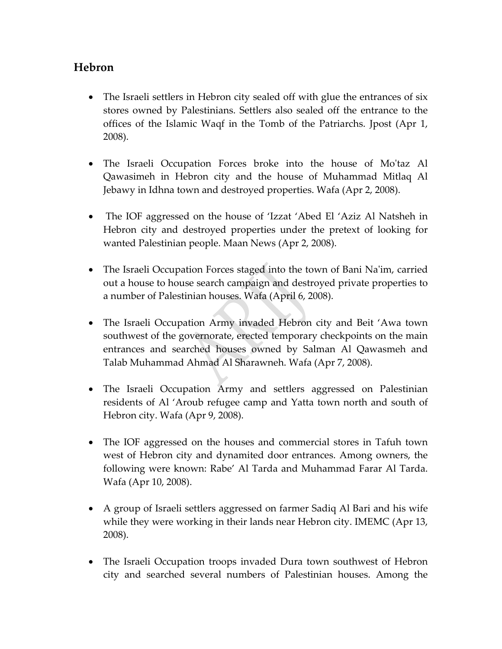### **Hebron**

- The Israeli settlers in Hebron city sealed off with glue the entrances of six stores owned by Palestinians. Settlers also sealed off the entrance to the offices of the Islamic Waqf in the Tomb of the Patriarchs. Jpost (Apr 1, 2008).
- The Israeli Occupation Forces broke into the house of Moʹtaz Al Qawasimeh in Hebron city and the house of Muhammad Mitlaq Al Jebawy in Idhna town and destroyed properties. Wafa (Apr 2, 2008).
- The IOF aggressed on the house of 'Izzat 'Abed El 'Aziz Al Natsheh in Hebron city and destroyed properties under the pretext of looking for wanted Palestinian people. Maan News (Apr 2, 2008).
- The Israeli Occupation Forces staged into the town of Bani Na'im, carried out a house to house search campaign and destroyed private properties to a number of Palestinian houses. Wafa (April 6, 2008).
- The Israeli Occupation Army invaded Hebron city and Beit 'Awa town southwest of the governorate, erected temporary checkpoints on the main entrances and searched houses owned by Salman Al Qawasmeh and Talab Muhammad Ahmad Al Sharawneh. Wafa (Apr 7, 2008).
- The Israeli Occupation Army and settlers aggressed on Palestinian residents of Al 'Aroub refugee camp and Yatta town north and south of Hebron city. Wafa (Apr 9, 2008).
- The IOF aggressed on the houses and commercial stores in Tafuh town west of Hebron city and dynamited door entrances. Among owners, the following were known: Rabe' Al Tarda and Muhammad Farar Al Tarda. Wafa (Apr 10, 2008).
- A group of Israeli settlers aggressed on farmer Sadiq Al Bari and his wife while they were working in their lands near Hebron city. IMEMC (Apr 13, 2008).
- The Israeli Occupation troops invaded Dura town southwest of Hebron city and searched several numbers of Palestinian houses. Among the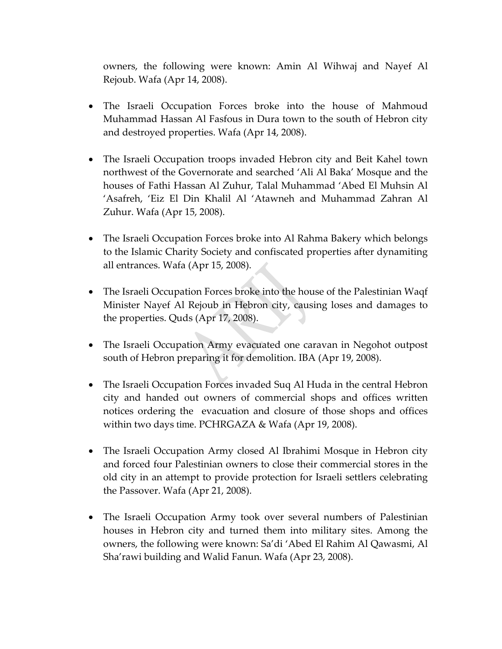owners, the following were known: Amin Al Wihwaj and Nayef Al Rejoub. Wafa (Apr 14, 2008).

- The Israeli Occupation Forces broke into the house of Mahmoud Muhammad Hassan Al Fasfous in Dura town to the south of Hebron city and destroyed properties. Wafa (Apr 14, 2008).
- The Israeli Occupation troops invaded Hebron city and Beit Kahel town northwest of the Governorate and searched 'Ali Al Baka' Mosque and the houses of Fathi Hassan Al Zuhur, Talal Muhammad 'Abed El Muhsin Al 'Asafreh, 'Eiz El Din Khalil Al 'Atawneh and Muhammad Zahran Al Zuhur. Wafa (Apr 15, 2008).
- The Israeli Occupation Forces broke into Al Rahma Bakery which belongs to the Islamic Charity Society and confiscated properties after dynamiting all entrances. Wafa (Apr 15, 2008).
- The Israeli Occupation Forces broke into the house of the Palestinian Waqf Minister Nayef Al Rejoub in Hebron city, causing loses and damages to the properties. Quds (Apr 17, 2008).
- The Israeli Occupation Army evacuated one caravan in Negohot outpost south of Hebron preparing it for demolition. IBA (Apr 19, 2008).
- The Israeli Occupation Forces invaded Suq Al Huda in the central Hebron city and handed out owners of commercial shops and offices written notices ordering the evacuation and closure of those shops and offices within two days time. PCHRGAZA & Wafa (Apr 19, 2008).
- The Israeli Occupation Army closed Al Ibrahimi Mosque in Hebron city and forced four Palestinian owners to close their commercial stores in the old city in an attempt to provide protection for Israeli settlers celebrating the Passover. Wafa (Apr 21, 2008).
- The Israeli Occupation Army took over several numbers of Palestinian houses in Hebron city and turned them into military sites. Among the owners, the following were known: Sa'di 'Abed El Rahim Al Qawasmi, Al Sha'rawi building and Walid Fanun. Wafa (Apr 23, 2008).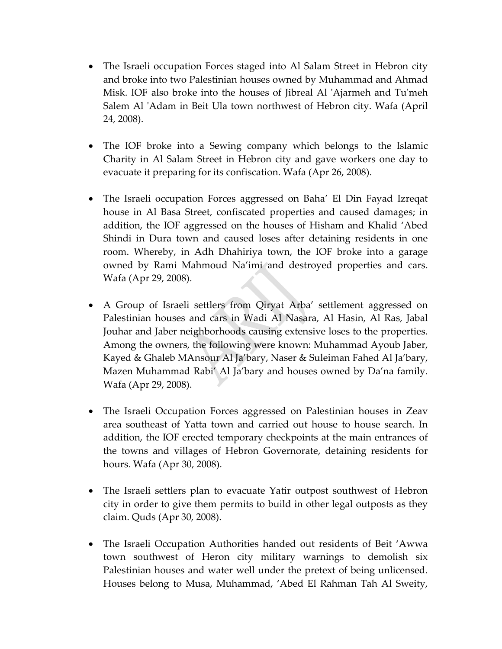- The Israeli occupation Forces staged into Al Salam Street in Hebron city and broke into two Palestinian houses owned by Muhammad and Ahmad Misk. IOF also broke into the houses of Jibreal Al ʹAjarmeh and Tuʹmeh Salem Al ʹAdam in Beit Ula town northwest of Hebron city. Wafa (April 24, 2008).
- The IOF broke into a Sewing company which belongs to the Islamic Charity in Al Salam Street in Hebron city and gave workers one day to evacuate it preparing for its confiscation. Wafa (Apr 26, 2008).
- The Israeli occupation Forces aggressed on Baha' El Din Fayad Izreqat house in Al Basa Street, confiscated properties and caused damages; in addition, the IOF aggressed on the houses of Hisham and Khalid 'Abed Shindi in Dura town and caused loses after detaining residents in one room. Whereby, in Adh Dhahiriya town, the IOF broke into a garage owned by Rami Mahmoud Na'imi and destroyed properties and cars. Wafa (Apr 29, 2008).
- A Group of Israeli settlers from Qiryat Arba' settlement aggressed on Palestinian houses and cars in Wadi Al Nasara, Al Hasin, Al Ras, Jabal Jouhar and Jaber neighborhoods causing extensive loses to the properties. Among the owners, the following were known: Muhammad Ayoub Jaber, Kayed & Ghaleb MAnsour Al Ja'bary, Naser & Suleiman Fahed Al Ja'bary, Mazen Muhammad Rabi' Al Ja'bary and houses owned by Da'na family. Wafa (Apr 29, 2008).
- The Israeli Occupation Forces aggressed on Palestinian houses in Zeav area southeast of Yatta town and carried out house to house search. In addition, the IOF erected temporary checkpoints at the main entrances of the towns and villages of Hebron Governorate, detaining residents for hours. Wafa (Apr 30, 2008).
- The Israeli settlers plan to evacuate Yatir outpost southwest of Hebron city in order to give them permits to build in other legal outposts as they claim. Quds (Apr 30, 2008).
- The Israeli Occupation Authorities handed out residents of Beit 'Awwa town southwest of Heron city military warnings to demolish six Palestinian houses and water well under the pretext of being unlicensed. Houses belong to Musa, Muhammad, 'Abed El Rahman Tah Al Sweity,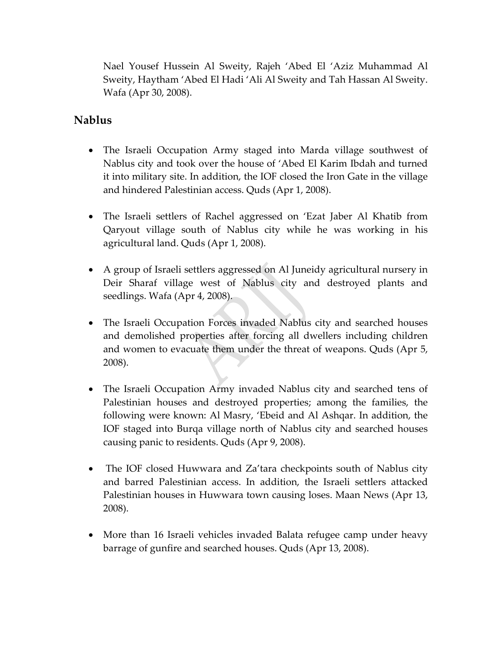Nael Yousef Hussein Al Sweity, Rajeh 'Abed El 'Aziz Muhammad Al Sweity, Haytham 'Abed El Hadi 'Ali Al Sweity and Tah Hassan Al Sweity. Wafa (Apr 30, 2008).

#### **Nablus**

- The Israeli Occupation Army staged into Marda village southwest of Nablus city and took over the house of 'Abed El Karim Ibdah and turned it into military site. In addition, the IOF closed the Iron Gate in the village and hindered Palestinian access. Quds (Apr 1, 2008).
- The Israeli settlers of Rachel aggressed on 'Ezat Jaber Al Khatib from Qaryout village south of Nablus city while he was working in his agricultural land. Quds (Apr 1, 2008).
- A group of Israeli settlers aggressed on Al Juneidy agricultural nursery in Deir Sharaf village west of Nablus city and destroyed plants and seedlings. Wafa (Apr 4, 2008).
- The Israeli Occupation Forces invaded Nablus city and searched houses and demolished properties after forcing all dwellers including children and women to evacuate them under the threat of weapons. Quds (Apr 5, 2008).
- The Israeli Occupation Army invaded Nablus city and searched tens of Palestinian houses and destroyed properties; among the families, the following were known: Al Masry, 'Ebeid and Al Ashqar. In addition, the IOF staged into Burqa village north of Nablus city and searched houses causing panic to residents. Quds (Apr 9, 2008).
- The IOF closed Huwwara and Za'tara checkpoints south of Nablus city and barred Palestinian access. In addition, the Israeli settlers attacked Palestinian houses in Huwwara town causing loses. Maan News (Apr 13, 2008).
- More than 16 Israeli vehicles invaded Balata refugee camp under heavy barrage of gunfire and searched houses. Quds (Apr 13, 2008).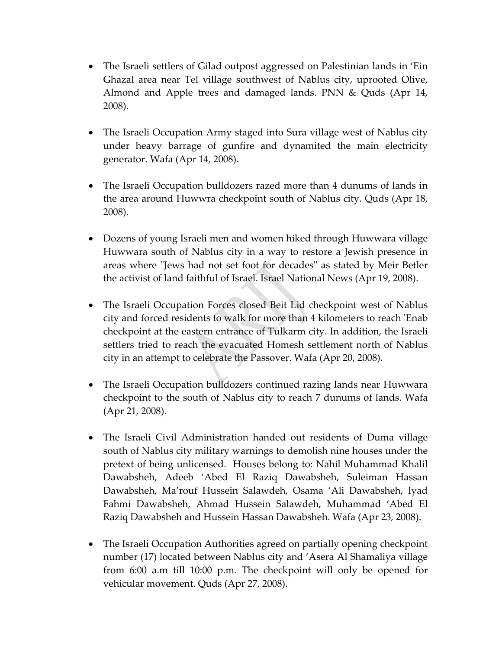- The Israeli settlers of Gilad outpost aggressed on Palestinian lands in 'Ein Ghazal area near Tel village southwest of Nablus city, uprooted Olive, Almond and Apple trees and damaged lands. PNN & Quds (Apr 14, 2008).
- The Israeli Occupation Army staged into Sura village west of Nablus city under heavy barrage of gunfire and dynamited the main electricity generator. Wafa (Apr 14, 2008).
- The Israeli Occupation bulldozers razed more than 4 dunums of lands in the area around Huwwra checkpoint south of Nablus city. Quds (Apr 18, 2008).
- Dozens of young Israeli men and women hiked through Huwwara village Huwwara south of Nablus city in a way to restore a Jewish presence in areas where "Jews had not set foot for decades" as stated by Meir Betler the activist of land faithful of Israel. Israel National News (Apr 19, 2008).
- The Israeli Occupation Forces closed Beit Lid checkpoint west of Nablus city and forced residents to walk for more than 4 kilometers to reach ʹEnab checkpoint at the eastern entrance of Tulkarm city. In addition, the Israeli settlers tried to reach the evacuated Homesh settlement north of Nablus city in an attempt to celebrate the Passover. Wafa (Apr 20, 2008).
- The Israeli Occupation bulldozers continued razing lands near Huwwara checkpoint to the south of Nablus city to reach 7 dunums of lands. Wafa (Apr 21, 2008).
- The Israeli Civil Administration handed out residents of Duma village south of Nablus city military warnings to demolish nine houses under the pretext of being unlicensed. Houses belong to: Nahil Muhammad Khalil Dawabsheh, Adeeb 'Abed El Raziq Dawabsheh, Suleiman Hassan Dawabsheh, Ma'rouf Hussein Salawdeh, Osama 'Ali Dawabsheh, Iyad Fahmi Dawabsheh, Ahmad Hussein Salawdeh, Muhammad 'Abed El Raziq Dawabsheh and Hussein Hassan Dawabsheh. Wafa (Apr 23, 2008).
- The Israeli Occupation Authorities agreed on partially opening checkpoint number (17) located between Nablus city and 'Asera Al Shamaliya village from 6:00 a.m till 10:00 p.m. The checkpoint will only be opened for vehicular movement. Quds (Apr 27, 2008).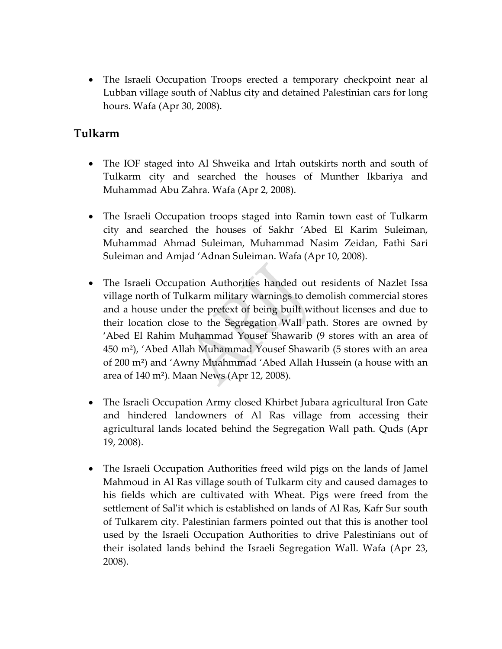• The Israeli Occupation Troops erected a temporary checkpoint near al Lubban village south of Nablus city and detained Palestinian cars for long hours. Wafa (Apr 30, 2008).

### **Tulkarm**

- The IOF staged into Al Shweika and Irtah outskirts north and south of Tulkarm city and searched the houses of Munther Ikbariya and Muhammad Abu Zahra. Wafa (Apr 2, 2008).
- The Israeli Occupation troops staged into Ramin town east of Tulkarm city and searched the houses of Sakhr 'Abed El Karim Suleiman, Muhammad Ahmad Suleiman, Muhammad Nasim Zeidan, Fathi Sari Suleiman and Amjad 'Adnan Suleiman. Wafa (Apr 10, 2008).
- The Israeli Occupation Authorities handed out residents of Nazlet Issa village north of Tulkarm military warnings to demolish commercial stores and a house under the pretext of being built without licenses and due to their location close to the Segregation Wall path. Stores are owned by 'Abed El Rahim Muhammad Yousef Shawarib (9 stores with an area of 450 m²), 'Abed Allah Muhammad Yousef Shawarib (5 stores with an area of 200 m²) and 'Awny Muahmmad 'Abed Allah Hussein (a house with an area of 140 m²). Maan News (Apr 12, 2008).
- The Israeli Occupation Army closed Khirbet Jubara agricultural Iron Gate and hindered landowners of Al Ras village from accessing their agricultural lands located behind the Segregation Wall path. Quds (Apr 19, 2008).
- The Israeli Occupation Authorities freed wild pigs on the lands of Jamel Mahmoud in Al Ras village south of Tulkarm city and caused damages to his fields which are cultivated with Wheat. Pigs were freed from the settlement of Sal'it which is established on lands of Al Ras, Kafr Sur south of Tulkarem city. Palestinian farmers pointed out that this is another tool used by the Israeli Occupation Authorities to drive Palestinians out of their isolated lands behind the Israeli Segregation Wall. Wafa (Apr 23, 2008).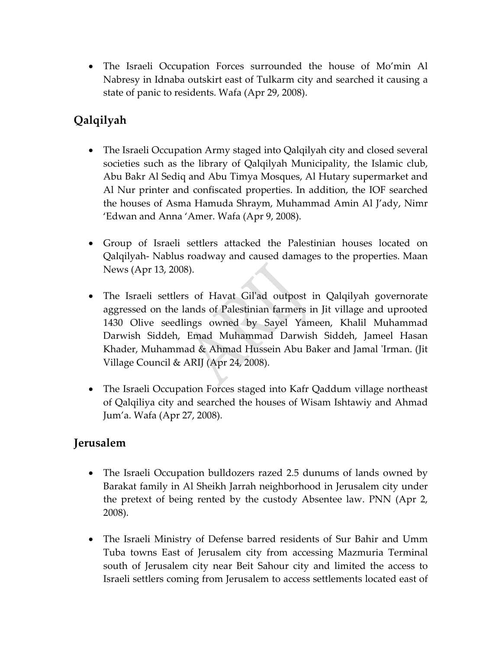• The Israeli Occupation Forces surrounded the house of Mo'min Al Nabresy in Idnaba outskirt east of Tulkarm city and searched it causing a state of panic to residents. Wafa (Apr 29, 2008).

## **Qalqilyah**

- The Israeli Occupation Army staged into Qalqilyah city and closed several societies such as the library of Qalqilyah Municipality, the Islamic club, Abu Bakr Al Sediq and Abu Timya Mosques, Al Hutary supermarket and Al Nur printer and confiscated properties. In addition, the IOF searched the houses of Asma Hamuda Shraym, Muhammad Amin Al J'ady, Nimr 'Edwan and Anna 'Amer. Wafa (Apr 9, 2008).
- Group of Israeli settlers attacked the Palestinian houses located on Qalqilyah‐ Nablus roadway and caused damages to the properties. Maan News (Apr 13, 2008).
- The Israeli settlers of Havat Gilʹad outpost in Qalqilyah governorate aggressed on the lands of Palestinian farmers in Jit village and uprooted 1430 Olive seedlings owned by Sayel Yameen, Khalil Muhammad Darwish Siddeh, Emad Muhammad Darwish Siddeh, Jameel Hasan Khader, Muhammad & Ahmad Hussein Abu Baker and Jamal 'Irman. (Jit Village Council & ARIJ (Apr 24, 2008).
- The Israeli Occupation Forces staged into Kafr Qaddum village northeast of Qalqiliya city and searched the houses of Wisam Ishtawiy and Ahmad Jum'a. Wafa (Apr 27, 2008).

## **Jerusalem**

- The Israeli Occupation bulldozers razed 2.5 dunums of lands owned by Barakat family in Al Sheikh Jarrah neighborhood in Jerusalem city under the pretext of being rented by the custody Absentee law. PNN (Apr 2, 2008).
- The Israeli Ministry of Defense barred residents of Sur Bahir and Umm Tuba towns East of Jerusalem city from accessing Mazmuria Terminal south of Jerusalem city near Beit Sahour city and limited the access to Israeli settlers coming from Jerusalem to access settlements located east of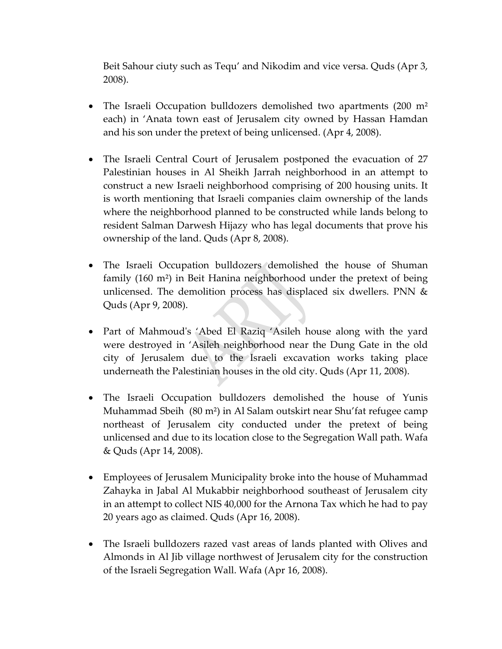Beit Sahour ciuty such as Tequ' and Nikodim and vice versa. Quds (Apr 3, 2008).

- The Israeli Occupation bulldozers demolished two apartments (200 m<sup>2</sup>) each) in 'Anata town east of Jerusalem city owned by Hassan Hamdan and his son under the pretext of being unlicensed. (Apr 4, 2008).
- The Israeli Central Court of Jerusalem postponed the evacuation of 27 Palestinian houses in Al Sheikh Jarrah neighborhood in an attempt to construct a new Israeli neighborhood comprising of 200 housing units. It is worth mentioning that Israeli companies claim ownership of the lands where the neighborhood planned to be constructed while lands belong to resident Salman Darwesh Hijazy who has legal documents that prove his ownership of the land. Quds (Apr 8, 2008).
- The Israeli Occupation bulldozers demolished the house of Shuman family (160 m²) in Beit Hanina neighborhood under the pretext of being unlicensed. The demolition process has displaced six dwellers. PNN & Quds (Apr 9, 2008).
- Part of Mahmoud's 'Abed El Raziq 'Asileh house along with the yard were destroyed in 'Asileh neighborhood near the Dung Gate in the old city of Jerusalem due to the Israeli excavation works taking place underneath the Palestinian houses in the old city. Quds (Apr 11, 2008).
- The Israeli Occupation bulldozers demolished the house of Yunis Muhammad Sbeih (80 m²) in Al Salam outskirt near Shu'fat refugee camp northeast of Jerusalem city conducted under the pretext of being unlicensed and due to its location close to the Segregation Wall path. Wafa & Quds (Apr 14, 2008).
- Employees of Jerusalem Municipality broke into the house of Muhammad Zahayka in Jabal Al Mukabbir neighborhood southeast of Jerusalem city in an attempt to collect NIS 40,000 for the Arnona Tax which he had to pay 20 years ago as claimed. Quds (Apr 16, 2008).
- The Israeli bulldozers razed vast areas of lands planted with Olives and Almonds in Al Jib village northwest of Jerusalem city for the construction of the Israeli Segregation Wall. Wafa (Apr 16, 2008).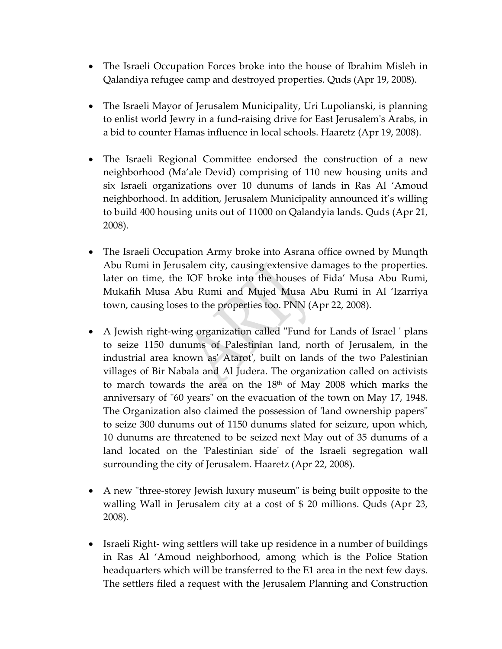- The Israeli Occupation Forces broke into the house of Ibrahim Misleh in Qalandiya refugee camp and destroyed properties. Quds (Apr 19, 2008).
- The Israeli Mayor of Jerusalem Municipality, Uri Lupolianski, is planning to enlist world Jewry in a fund‐raising drive for East Jerusalemʹs Arabs, in a bid to counter Hamas influence in local schools. Haaretz (Apr 19, 2008).
- The Israeli Regional Committee endorsed the construction of a new neighborhood (Ma'ale Devid) comprising of 110 new housing units and six Israeli organizations over 10 dunums of lands in Ras Al 'Amoud neighborhood. In addition, Jerusalem Municipality announced it's willing to build 400 housing units out of 11000 on Qalandyia lands. Quds (Apr 21, 2008).
- The Israeli Occupation Army broke into Asrana office owned by Munqth Abu Rumi in Jerusalem city, causing extensive damages to the properties. later on time, the IOF broke into the houses of Fida' Musa Abu Rumi, Mukafih Musa Abu Rumi and Mujed Musa Abu Rumi in Al 'Izarriya town, causing loses to the properties too. PNN (Apr 22, 2008).
- A Jewish right-wing organization called "Fund for Lands of Israel ' plans to seize 1150 dunums of Palestinian land, north of Jerusalem, in the industrial area known asʹ Atarotʹ, built on lands of the two Palestinian villages of Bir Nabala and Al Judera. The organization called on activists to march towards the area on the  $18<sup>th</sup>$  of May 2008 which marks the anniversary of "60 years" on the evacuation of the town on May 17, 1948. The Organization also claimed the possession of 'land ownership papers'' to seize 300 dunums out of 1150 dunums slated for seizure, upon which, 10 dunums are threatened to be seized next May out of 35 dunums of a land located on the 'Palestinian side' of the Israeli segregation wall surrounding the city of Jerusalem. Haaretz (Apr 22, 2008).
- A new "three-storey Jewish luxury museum" is being built opposite to the walling Wall in Jerusalem city at a cost of \$ 20 millions. Quds (Apr 23, 2008).
- Israeli Right- wing settlers will take up residence in a number of buildings in Ras Al 'Amoud neighborhood, among which is the Police Station headquarters which will be transferred to the E1 area in the next few days. The settlers filed a request with the Jerusalem Planning and Construction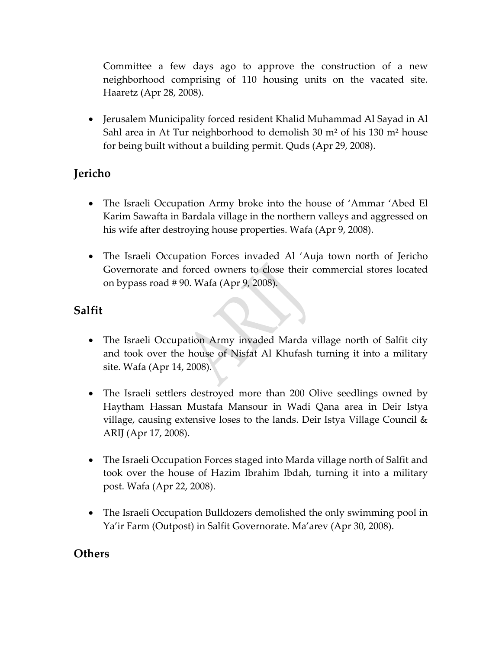Committee a few days ago to approve the construction of a new neighborhood comprising of 110 housing units on the vacated site. Haaretz (Apr 28, 2008).

• Jerusalem Municipality forced resident Khalid Muhammad Al Sayad in Al Sahl area in At Tur neighborhood to demolish 30 m² of his 130 m² house for being built without a building permit. Quds (Apr 29, 2008).

## **Jericho**

- The Israeli Occupation Army broke into the house of 'Ammar 'Abed El Karim Sawafta in Bardala village in the northern valleys and aggressed on his wife after destroying house properties. Wafa (Apr 9, 2008).
- The Israeli Occupation Forces invaded Al 'Auja town north of Jericho Governorate and forced owners to close their commercial stores located on bypass road # 90. Wafa (Apr 9, 2008).

## **Salfit**

- The Israeli Occupation Army invaded Marda village north of Salfit city and took over the house of Nisfat Al Khufash turning it into a military site. Wafa (Apr 14, 2008).
- The Israeli settlers destroyed more than 200 Olive seedlings owned by Haytham Hassan Mustafa Mansour in Wadi Qana area in Deir Istya village, causing extensive loses to the lands. Deir Istya Village Council & ARIJ (Apr 17, 2008).
- The Israeli Occupation Forces staged into Marda village north of Salfit and took over the house of Hazim Ibrahim Ibdah, turning it into a military post. Wafa (Apr 22, 2008).
- The Israeli Occupation Bulldozers demolished the only swimming pool in Ya'ir Farm (Outpost) in Salfit Governorate. Ma'arev (Apr 30, 2008).

#### **Others**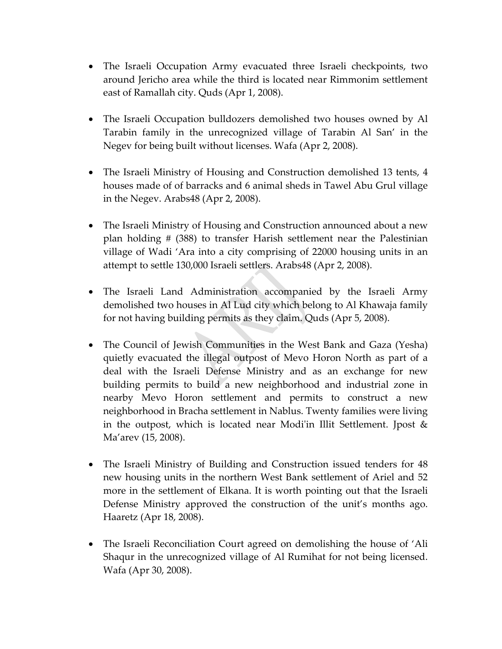- The Israeli Occupation Army evacuated three Israeli checkpoints, two around Jericho area while the third is located near Rimmonim settlement east of Ramallah city. Quds (Apr 1, 2008).
- The Israeli Occupation bulldozers demolished two houses owned by Al Tarabin family in the unrecognized village of Tarabin Al San' in the Negev for being built without licenses. Wafa (Apr 2, 2008).
- The Israeli Ministry of Housing and Construction demolished 13 tents, 4 houses made of of barracks and 6 animal sheds in Tawel Abu Grul village in the Negev. Arabs48 (Apr 2, 2008).
- The Israeli Ministry of Housing and Construction announced about a new plan holding # (388) to transfer Harish settlement near the Palestinian village of Wadi 'Ara into a city comprising of 22000 housing units in an attempt to settle 130,000 Israeli settlers. Arabs48 (Apr 2, 2008).
- The Israeli Land Administration accompanied by the Israeli Army demolished two houses in Al Lud city which belong to Al Khawaja family for not having building permits as they claim. Quds (Apr 5, 2008).
- The Council of Jewish Communities in the West Bank and Gaza (Yesha) quietly evacuated the illegal outpost of Mevo Horon North as part of a deal with the Israeli Defense Ministry and as an exchange for new building permits to build a new neighborhood and industrial zone in nearby Mevo Horon settlement and permits to construct a new neighborhood in Bracha settlement in Nablus. Twenty families were living in the outpost, which is located near Modi'in Illit Settlement. Jpost & Ma'arev (15, 2008).
- The Israeli Ministry of Building and Construction issued tenders for 48 new housing units in the northern West Bank settlement of Ariel and 52 more in the settlement of Elkana. It is worth pointing out that the Israeli Defense Ministry approved the construction of the unit's months ago. Haaretz (Apr 18, 2008).
- The Israeli Reconciliation Court agreed on demolishing the house of 'Ali Shaqur in the unrecognized village of Al Rumihat for not being licensed. Wafa (Apr 30, 2008).